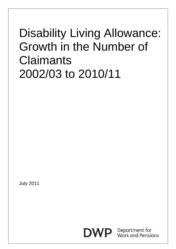# Disability Living Allowance: Growth in the Number of **Claimants** 2002/03 to 2010/11

July 2011



Department for **Work and Pensions**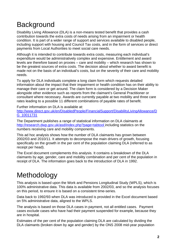## **Background**

Disability Living Allowance (DLA) is a non-means tested benefit that provides a cash contribution towards the extra costs of needs arising from an impairment or health condition. It is part of a wider range of support and services available to disabled people, including support with housing and Council Tax costs, and in the form of services or direct payments from Local Authorities to meet social care needs.

Although it is intended to contribute towards extra costs, measuring each individual's expenditure would be administratively complex and expensive. Entitlement and award levels are therefore based on proxies – care and mobility – which research has shown to be the greatest sources of extra costs. The decision about whether to award benefit is made not on the basis of an individual's costs, but on the severity of their care and mobility needs.

To apply for DLA individuals complete a long claim form which requests detailed information about the impact that their impairment or health condition has on their ability to manage their care or get around. The claim form is considered by a Decision Maker alongside other evidence such as reports from the claimant's General Practitioner or consultant where necessary. Awards are currently payable at two mobility and three care rates leading to a possible 11 different combinations of payable rates of benefit.

Further information on DLA is available at:

[http://www.direct.gov.uk/en/DisabledPeople/FinancialSupport/DisabilityLivingAllowance/D](http://www.direct.gov.uk/en/DisabledPeople/FinancialSupport/DisabilityLivingAllowance/DG_10011731) [G\\_10011731](http://www.direct.gov.uk/en/DisabledPeople/FinancialSupport/DisabilityLivingAllowance/DG_10011731)

The Department publishes a range of statistical information on DLA claimants at <http://research.dwp.gov.uk/asd/index.php?page=tabtool> including statistics on the numbers receiving care and mobility components.

This ad hoc analysis shows how the number of DLA claimants has grown between 2002/03 and 2010/11. It attempts to decompose the main drivers of growth, focusing specifically on the growth in the per cent of the population claiming DLA (referred to as receipt per head).

The Excel document complements this analysis. It contains a breakdown of the DLA claimants by age, gender, care and mobility combination and per cent of the population in receipt of DLA. The information goes back to the introduction of DLA in 1992.

### **Methodology**

This analysis is based upon the Work and Pensions Longitudinal Study (WPLS), which is 100% administrative data. This data is available from 2002/03, and so the analysis focuses on this period, to ensure it is based on a consistent time-series.

Data back to 1992/93 when DLA was introduced is provided in the Excel document based on 5% administrative data, aligned to the WPLS.

The analysis is based on those DLA cases in payment, not all entitled cases. Payment cases exclude cases who have had their payment suspended for example, because they are in hospital.

Estimates of the per cent of the population claiming DLA are calculated by dividing the DLA claimants (broken down by age and gender) by the ONS 2008 mid-year population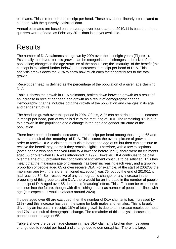estimates. This is referred to as receipt per head. These have been linearly interpolated to compare with the quarterly statistical data.

Annual estimates are based on the average over four quarters. 2010/11 is based on three quarters worth of data, as February 2011 data is not yet available.

# Results

The number of DLA claimants has grown by 29% over the last eight years (Figure 1). Essentially the drivers for this growth can be categorised as: changes in the size of the population; changes in the age structure of the population; the "maturity" of the benefit (this concept is explained further below); and increases in receipt per head of DLA. This analysis breaks down the 29% to show how much each factor contributes to the total growth.

'Receipt per head' is defined as the percentage of the population of a given age claiming DLA.

Table 1 shows the growth in DLA claimants, broken down between growth as a result of an increase in receipt per head and growth as a result of demographic change. Demographic change includes both the growth of the population and changes in its age and gender structure.

The headline growth over this period is 29%. Of this, 21% can be attributed to an increase in receipt per head, part of which is due to the maturing of DLA. The remaining 8% is due to a growth in the population and a change in the age and gender structure of the population.

There have been substantial increases in the receipt per head among those aged 65 and over as a result of the "maturing" of DLA. This distorts the overall picture of growth. In order to receive DLA, a claimant must claim before the age of 65 but then can continue to receive the benefit beyond 65 if they remain eligible. Therefore, with a few exceptions (some people who had received Mobility Allowance before 1992), there were no claimants aged 65 or over when DLA was introduced in 1992. However, DLA continues to be paid over the age of 65 provided the conditions of entitlement continue to be satisfied. This has meant that the maximum age of claimants has been increasing each year, and a growing proportion of people aged 65 or over receive DLA. For example, at the start of 2002/03 the maximum age (with the aforementioned exception) was 75, but by the end of 2010/11 it had reached 84. So irrespective of any demographic change, or any increase in the propensity of this group to claim DLA, there would be an increase in the number of people in receipt of DLA aged over 65 due to this "maturing" effect. This effect can be expected to continue into the future, though with diminishing impact as number of people declines with age (it is expected it would plateaux around 2020).

If those aged over 65 are excluded, then the number of DLA claimants has increased by 23% - and this increase has been the same for both males and females. This is largely driven by an increase in receipt; 16% of total growth is due to an increase receipt per head and 7% is a result of demographic change. The remainder of this analysis focuses on people under the age of 65.

Table 2 shows the percentage change in male DLA claimants broken down between change due to receipt per head and change due to demographics. There is a large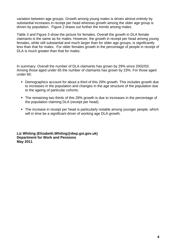variation between age groups. Growth among young males is driven almost entirely by substantial increases in receipt per head whereas growth among the older age group is driven by population. Figure 2 draws out further the trends among males.

Table 3 and Figure 3 show the picture for females. Overall the growth in DLA female claimants is the same as for males. However, the growth in receipt per head among young females, while still substantial and much larger than for older age groups, is significantly less than that for males. For older females growth in the percentage of people in receipt of DLA is much greater than that for males.

In summary: Overall the number of DLA claimants has grown by 29% since 2002/03. Among those aged under 65 the number of claimants has grown by 23%. For those aged under 65:

- Demographics account for about a third of this 29% growth. This includes growth due to increases in the population and changes in the age structure of the population due to the ageing of particular cohorts.
- The remaining two thirds of this 29% growth is due to increases in the percentage of the population claiming DLA (receipt per head).
- The increase in receipt per head is particularly notable among younger people, which will in time be a significant driver of working age DLA growth.

**Liz Whiting [\(Elizabeth.Whiting@dwp.gsi.gov.uk](mailto:helen.ganson@dwp.gsi.gov.uk)) Department for Work and Pensions May 2011**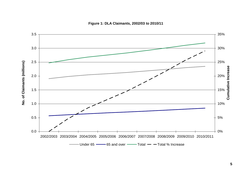

**Figure 1: DLA Claimants, 2002/03 to 2010/11**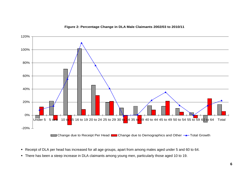

### **Figure 2: Percentage Change in DLA Male Claimants 2002/03 to 2010/11**

- Receipt of DLA per head has increased for all age groups, apart from among males aged under 5 and 60 to 64.
- There has been a steep increase in DLA claimants among young men, particularly those aged 10 to 19.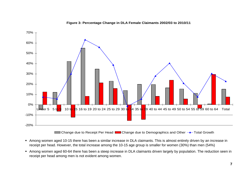

### **Figure 3: Percentage Change in DLA Female Claimants 2002/03 to 2010/11**

- Among women aged 10-15 there has been a similar increase in DLA claimants. This is almost entirely driven by an increase in receipt per head. However, the total increase among the 10-15 age group is smaller for women (30%) than men (54%)
- Among women aged 60-64 there has been a steep increase in DLA claimants driven largely by population. The reduction seen in receipt per head among men is not evident among women.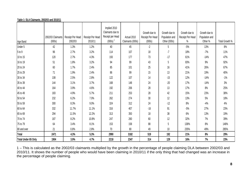|                     |                   |                  |                  | Implied 2010     |                  |                  |                |                  |                |                |
|---------------------|-------------------|------------------|------------------|------------------|------------------|------------------|----------------|------------------|----------------|----------------|
|                     |                   |                  |                  | Claimants due to |                  | Growth due to    | Growth due to  | Growth due to    | Growth due to  |                |
|                     | 2002/03 Claimants | Receipt Per Head | Receipt Per Head | Receipt per Head | Actual 2010      | Receipt Per Head | Population and | Receipt Per Head | Population and |                |
| Age Band            | (000s)            | 2002/03          | 2010/11          | (000s)           | Claimants (000s) | (000s)           | Other (000s)   | %                | Other %        | Total Growth % |
| Under 5             | 42                | 1.3%             | 1.2%             | 40               | 45               | $-2$             | 5              | $-5%$            | 13%            | 8%             |
| 5 to 9              | 96                | 2.7%             | 3.2%             | 114              | 107              | 18               | $-7$           | 18%              | $-7%$          | 11%            |
| 10 to 15            | 120               | 2.7%             | 4.3%             | 193              | 177              | 73               | $-17$          | 61%              | $-14%$         | 47%            |
| 16 to 19            | 51                | 1.8%             | 3.2%             | 94               | 99               | 43               | 5              | 83%              | 9%             | 92%            |
| 20 to 24            | 60                | 1.7%             | 2.4%             | 85               | 101              | 25               | 16             | 41%              | 26%            | 67%            |
| 25 to 29            | 71                | 1.9%             | 2.4%             | 86               | 99               | 15               | 13             | 21%              | 19%            | 40%            |
| 30 to 34            | 108               | 2.5%             | 2.8%             | 122              | 107              | 14               | $-15$          | 12%              | $-14%$         | $-1\%$         |
| 35 to 39            | 144               | 3.1%             | 3.7%             | 168              | 148              | 24               | $-20$          | 17%              | $-14%$         | 3%             |
| 40 to 44            | 164               | 3.9%             | 4.6%             | 192              | 206              | 28               | 13             | 17%              | 8%             | 25%            |
| 45 to 49            | 183               | 4.9%             | 5.7%             | 211              | 253              | 28               | 42             | 15%              | 23%            | 38%            |
| 50 to 54            | 232               | 6.2%             | 7.0%             | 262              | 274              | 30               | 12             | 13%              | 5%             | 18%            |
| 55 to 59            | 300               | 8.3%             | 9.0%             | 324              | 312              | 24               | $-12$          | 8%               | $-4%$          | 4%             |
| 60 to 64            | 332               | 11.7%            | 11.1%            | 316              | 407              | $-16$            | 91             | $-5%$            | 27%            | 23%            |
| 65 to 69            | 294               | 11.5%            | 12.2%            | 313              | 350              | 18               | 38             | 6%               | 13%            | 19%            |
| 70 to 74            | 187               | 8.2%             | 10.8%            | 247              | 260              | 60               | 12             | 32%              | 7%             | 39%            |
| 75 to 79            | 64                | 3.4%             | 8.1%             | 153              | 158              | 88               | 5              | 138%             | 8%             | 146%           |
| 80 and over         | 21                | 0.8%             | 2.8%             | 70               | 80               | 49               | 10             | 235%             | 49%            | 285%           |
| Total               | 2471              | 4.3%             | 5.3%             | 2990             | 3182             | 519              | 192            | 21%              | 8%             | 29%            |
| Total Under 65 Only | 1904              | 3.9%             | 4.7%             | 2218             | 2347             | 314              | 129            | 16%              | 7%             | 23%            |

### **Table 1: DLA Claimants, 2002/03 and 2010/11**

1 – This is calculated as the 2002/03 claimants multiplied by the growth in the percentage of people claiming DLA between 2002/03 and 2010/11. It shows the number of people who would have been claiming in 2010/11 if the only thing that had changed was an increase in the percentage of people claiming.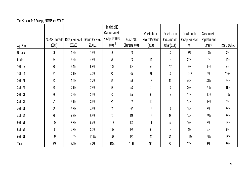|              |                   |                  |                  | Implied 2010     |                  |                  |                |                  |                |                |
|--------------|-------------------|------------------|------------------|------------------|------------------|------------------|----------------|------------------|----------------|----------------|
|              |                   |                  |                  | Claimants due to |                  | Growth due to    | Growth due to  | Growth due to    | Growth due to  |                |
|              | 2002/03 Claimants | Receipt Per Head | Receipt Per Head | Receipt per Head | Actual 2010      | Receipt Per Head | Population and | Receipt Per Head | Population and |                |
| Age Band     | (000s)            | 2002/03          | 2010/11          | (000s)           | Claimants (000s) | (000s)           | Other (000s)   | $\%$             | Other %        | Total Growth % |
| Under 5      | 26                | 1.5%             | 1.5%             | 25               | 28               | -1               | 3              | $-5%$            | 13%            | 8%             |
| 5 to 9       | 64                | 3.5%             | 4.3%             | 78               | 73               | 14               | $-5$           | 22%              | $-7%$          | 14%            |
| 10 to 15     | 80                | 3.4%             | 5.8%             | 136              | 124              | 56               | $-12$          | 70%              | $-15%$         | 55%            |
| 16 to 19     | 31                | 2.1%             | 4.2%             | 62               | 65               | 31               | 3              | 102%             | 9%             | 110%           |
| 20 to 24     | 33                | 1.9%             | 2.7%             | 49               | 59               | 15               | 10             | 46%              | 30%            | 76%            |
| 25 to 29     | 38                | 2.1%             | 2.5%             | 45               | 53               | $\overline{7}$   | 8              | 20%              | 21%            | 41%            |
| 30 to 34     | 55                | 2.6%             | 2.9%             | 62               | 55               | 6                | $-7$           | 11%              | $-12%$         | $-1\%$         |
| 35 to 39     | 71                | 3.1%             | 3.6%             | 81               | 72               | 10               | -9             | 14%              | $-13%$         | $1\%$          |
| 40 to 44     | 79                | 3.8%             | 4.3%             | 91               | 97               | 12               | 6              | 15%              | 8%             | 23%            |
| 45 to 49     | 86                | 4.7%             | 5.3%             | 97               | 116              | 12               | 18             | 14%              | 22%            | 35%            |
| 50 to 54     | 107               | 5.8%             | 6.4%             | 118              | 123              | 11               | 5              | 10%              | 5%             | 15%            |
| 55 to 59     | 140               | 7.8%             | 8.2%             | 145              | 139              | 6                | -6             | 4%               | $-4%$          | $0\%$          |
| 60 to 64     | 163               | 11.7%            | 10.5%            | 145              | 187              | $-17$            | 41             | $-11\%$          | 25%            | 15%            |
| <b>Total</b> | 973               | 4.0%             | 4.7%             | 1134             | 1191             | 161              | 57             | 17%              | 6%             | 22%            |